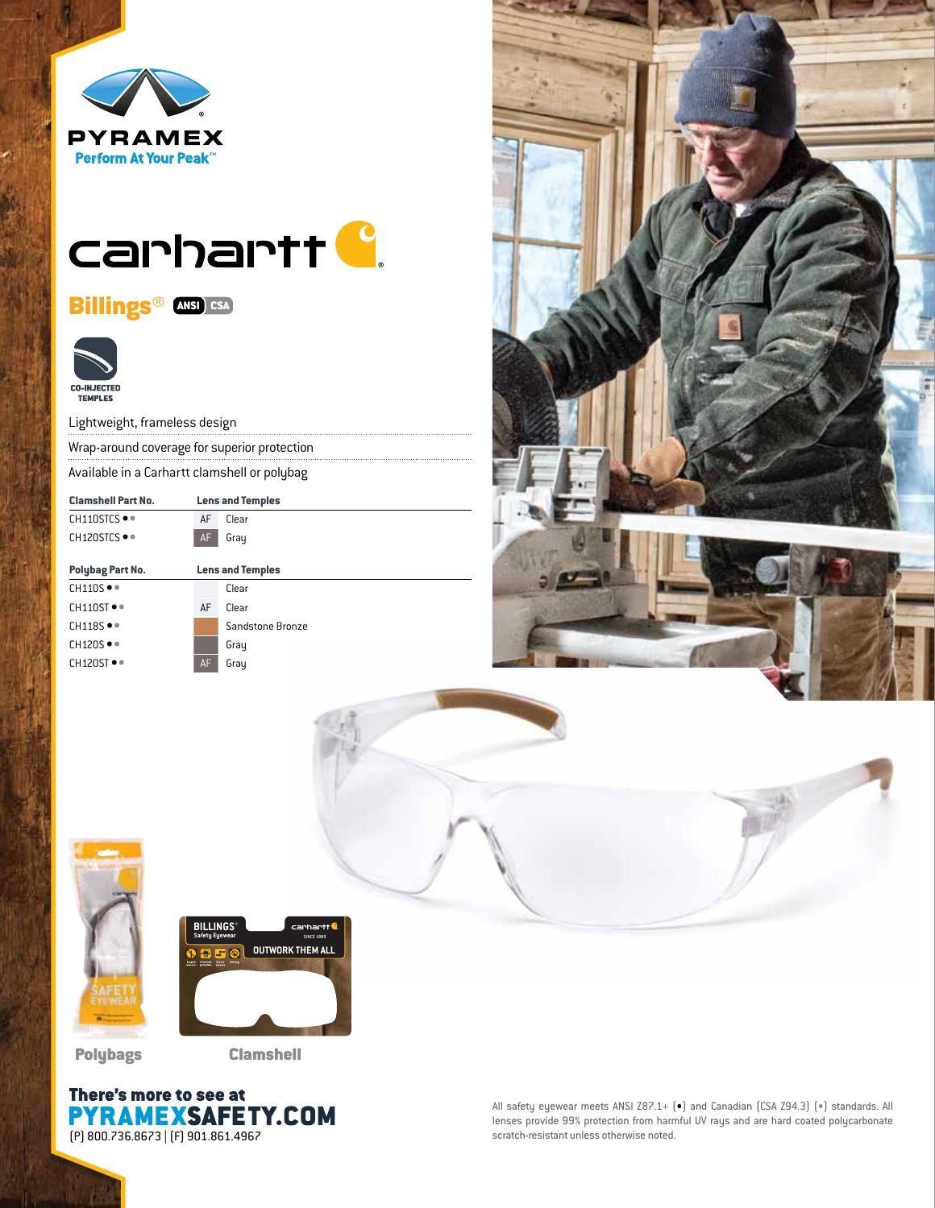

# carhartt<sup>C</sup>.

Billings<sup>®</sup> ANSI CSA



Lightweight, frameless design

Wrap-around coverage for superior protection

Available in a Carhartt clamshell or polybag

| <b>Clamshell Part No.</b>       | <b>Lens and Temples</b> |                  |
|---------------------------------|-------------------------|------------------|
| $CH110STCS$ $\bullet$ $\bullet$ | AF                      | Clear            |
| CH120STCS ●●                    | AF                      | Gray             |
|                                 |                         |                  |
| Polybag Part No.                | <b>Lens and Temples</b> |                  |
| $CH110S \bullet$                |                         | Clear            |
| $CH110ST$ $\bullet$             | AF                      | Clear            |
| $CH118S \bullet$                |                         | Sandstone Bronze |
| $CH120S \bullet$                |                         | Gray             |
| $CH120ST$ $\bullet$             | AF                      | Gray             |







Polybags Clamshell



All safety eyewear meets ANSI Z87.1+ (•) and Canadian (CSA Z94.3) (•) standards. All lenses provide 99% protection from harmful UV rays and are hard coated polycarbonate scratch-resistant unless otherwise noted.